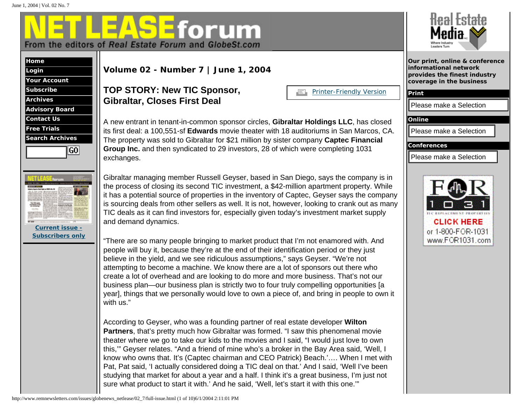<mark>E</mark>forum **W** From the editors of Real Estate Forum and GlobeSt.com



| Login                  |  |  |
|------------------------|--|--|
| <b>Your Account</b>    |  |  |
| <b>Subscribe</b>       |  |  |
| <b>Archives</b>        |  |  |
| <b>Advisory Board</b>  |  |  |
| <b>Contact Us</b>      |  |  |
| <b>Free Trials</b>     |  |  |
| <b>Search Archives</b> |  |  |
| GO                     |  |  |
|                        |  |  |



### **TOP STORY: New TIC Sponsor, Gibraltar, Closes First Deal**

| ÆL | <b>Printer-Friendly Version</b> |  |
|----|---------------------------------|--|
|    |                                 |  |



Gibraltar managing member Russell Geyser, based in San Diego, says the company is in the process of closing its second TIC investment, a \$42-million apartment property. While it has a potential source of properties in the inventory of Captec, Geyser says the company is sourcing deals from other sellers as well. It is not, however, looking to crank out as many TIC deals as it can find investors for, especially given today's investment market supply and demand dynamics.

"There are so many people bringing to market product that I'm not enamored with. And people will buy it, because they're at the end of their identification period or they just believe in the yield, and we see ridiculous assumptions," says Geyser. "We're not attempting to become a machine. We know there are a lot of sponsors out there who create a lot of overhead and are looking to do more and more business. That's not our business plan—our business plan is strictly two to four truly compelling opportunities [a year], things that we personally would love to own a piece of, and bring in people to own it with us." http://www.remnetlease/2004 2:1000 and benefitsters.com/issue.html (1 of 10)6/1/2004 2:12:000 and the state of 10)6/1/2004 2:11:000 and the state of 10)6/1/2004 2:11:000 and the state of 10)6/1/2004 and the state of 10)6

According to Geyser, who was a founding partner of real estate developer **Wilton Partners**, that's pretty much how Gibraltar was formed. "I saw this phenomenal movie theater where we go to take our kids to the movies and I said, "I would just love to own this,'" Geyser relates. "And a friend of mine who's a broker in the Bay Area said, 'Well, I know who owns that. It's (Captec chairman and CEO Patrick) Beach.'…. When I met with Pat, Pat said, 'I actually considered doing a TIC deal on that.' And I said, 'Well I've been studying that market for about a year and a half. I think it's a great business, I'm just not sure what product to start it with.' And he said, 'Well, let's start it with this one.'"



**Print**

**Online**

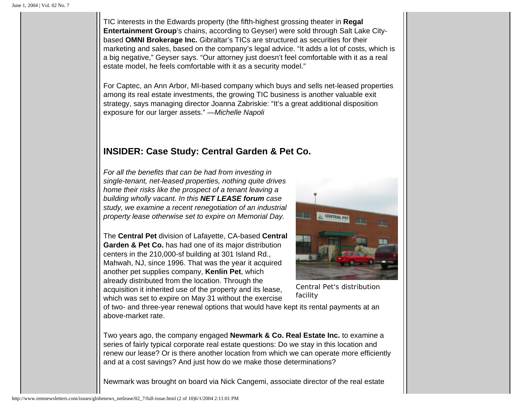TIC interests in the Edwards property (the fifth-highest grossing theater in **Regal Entertainment Group**'s chains, according to Geyser) were sold through Salt Lake Citybased **OMNI Brokerage Inc.** Gibraltar's TICs are structured as securities for their marketing and sales, based on the company's legal advice. "It adds a lot of costs, which is a big negative," Geyser says. "Our attorney just doesn't feel comfortable with it as a real estate model, he feels comfortable with it as a security model."

For Captec, an Ann Arbor, MI-based company which buys and sells net-leased properties among its real estate investments, the growing TIC business is another valuable exit strategy, says managing director Joanna Zabriskie: "It's a great additional disposition exposure for our larger assets." *—Michelle Napoli*

# **INSIDER: Case Study: Central Garden & Pet Co.**

*For all the benefits that can be had from investing in single-tenant, net-leased properties, nothing quite drives home their risks like the prospect of a tenant leaving a building wholly vacant. In this NET LEASE forum case study, we examine a recent renegotiation of an industrial property lease otherwise set to expire on Memorial Day.* 

The **Central Pet** division of Lafayette, CA-based **Central Garden & Pet Co.** has had one of its major distribution centers in the 210,000-sf building at 301 Island Rd., Mahwah, NJ, since 1996. That was the year it acquired another pet supplies company, **Kenlin Pet**, which already distributed from the location. Through the acquisition it inherited use of the property and its lease, which was set to expire on May 31 without the exercise



Central Pet's distribution facility

of two- and three-year renewal options that would have kept its rental payments at an above-market rate.

Two years ago, the company engaged **Newmark & Co. Real Estate Inc.** to examine a series of fairly typical corporate real estate questions: Do we stay in this location and renew our lease? Or is there another location from which we can operate more efficiently and at a cost savings? And just how do we make those determinations?

Newmark was brought on board via Nick Cangemi, associate director of the real estate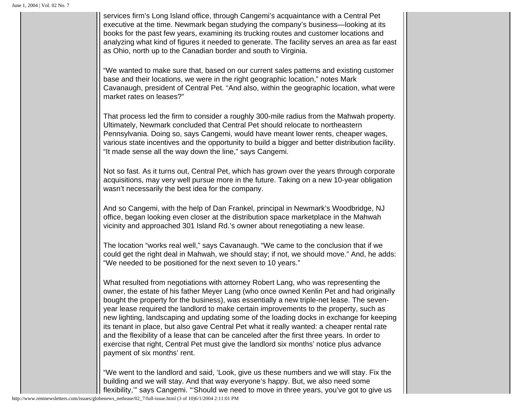services firm's Long Island office, through Cangemi's acquaintance with a Central Pet executive at the time. Newmark began studying the company's business—looking at its books for the past few years, examining its trucking routes and customer locations and analyzing what kind of figures it needed to generate. The facility serves an area as far east as Ohio, north up to the Canadian border and south to Virginia.

"We wanted to make sure that, based on our current sales patterns and existing customer base and their locations, we were in the right geographic location," notes Mark Cavanaugh, president of Central Pet. "And also, within the geographic location, what were market rates on leases?"

That process led the firm to consider a roughly 300-mile radius from the Mahwah property. Ultimately, Newmark concluded that Central Pet should relocate to northeastern Pennsylvania. Doing so, says Cangemi, would have meant lower rents, cheaper wages, various state incentives and the opportunity to build a bigger and better distribution facility. "It made sense all the way down the line," says Cangemi.

Not so fast. As it turns out, Central Pet, which has grown over the years through corporate acquisitions, may very well pursue more in the future. Taking on a new 10-year obligation wasn't necessarily the best idea for the company.

And so Cangemi, with the help of Dan Frankel, principal in Newmark's Woodbridge, NJ office, began looking even closer at the distribution space marketplace in the Mahwah vicinity and approached 301 Island Rd.'s owner about renegotiating a new lease.

The location "works real well," says Cavanaugh. "We came to the conclusion that if we could get the right deal in Mahwah, we should stay; if not, we should move." And, he adds: "We needed to be positioned for the next seven to 10 years."

What resulted from negotiations with attorney Robert Lang, who was representing the owner, the estate of his father Meyer Lang (who once owned Kenlin Pet and had originally bought the property for the business), was essentially a new triple-net lease. The sevenyear lease required the landlord to make certain improvements to the property, such as new lighting, landscaping and updating some of the loading docks in exchange for keeping its tenant in place, but also gave Central Pet what it really wanted: a cheaper rental rate and the flexibility of a lease that can be canceled after the first three years. In order to exercise that right, Central Pet must give the landlord six months' notice plus advance payment of six months' rent.

"We went to the landlord and said, 'Look, give us these numbers and we will stay. Fix the building and we will stay. And that way everyone's happy. But, we also need some flexibility,'" says Cangemi. "'Should we need to move in three years, you've got to give us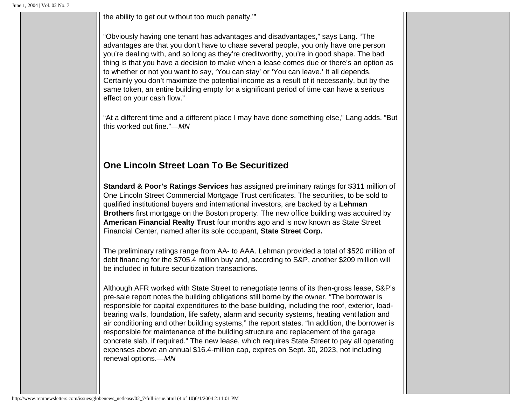the ability to get out without too much penalty.'"

"Obviously having one tenant has advantages and disadvantages," says Lang. "The advantages are that you don't have to chase several people, you only have one person you're dealing with, and so long as they're creditworthy, you're in good shape. The bad thing is that you have a decision to make when a lease comes due or there's an option as to whether or not you want to say, 'You can stay' or 'You can leave.' It all depends. Certainly you don't maximize the potential income as a result of it necessarily, but by the same token, an entire building empty for a significant period of time can have a serious effect on your cash flow."

"At a different time and a different place I may have done something else," Lang adds. "But this worked out fine."*—MN*

### **One Lincoln Street Loan To Be Securitized**

**Standard & Poor's Ratings Services** has assigned preliminary ratings for \$311 million of One Lincoln Street Commercial Mortgage Trust certificates. The securities, to be sold to qualified institutional buyers and international investors, are backed by a **Lehman Brothers** first mortgage on the Boston property. The new office building was acquired by **American Financial Realty Trust** four months ago and is now known as State Street Financial Center, named after its sole occupant, **State Street Corp.** 

The preliminary ratings range from AA- to AAA. Lehman provided a total of \$520 million of debt financing for the \$705.4 million buy and, according to S&P, another \$209 million will be included in future securitization transactions.

Although AFR worked with State Street to renegotiate terms of its then-gross lease, S&P's pre-sale report notes the building obligations still borne by the owner. "The borrower is responsible for capital expenditures to the base building, including the roof, exterior, loadbearing walls, foundation, life safety, alarm and security systems, heating ventilation and air conditioning and other building systems," the report states. "In addition, the borrower is responsible for maintenance of the building structure and replacement of the garage concrete slab, if required." The new lease, which requires State Street to pay all operating expenses above an annual \$16.4-million cap, expires on Sept. 30, 2023, not including renewal options.*—MN*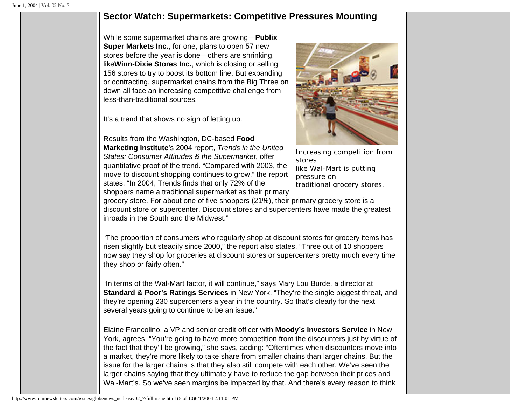#### **Sector Watch: Supermarkets: Competitive Pressures Mounting**

While some supermarket chains are growing—**Publix Super Markets Inc.**, for one, plans to open 57 new stores before the year is done—others are shrinking, like**Winn-Dixie Stores Inc.**, which is closing or selling 156 stores to try to boost its bottom line. But expanding or contracting, supermarket chains from the Big Three on down all face an increasing competitive challenge from less-than-traditional sources.

It's a trend that shows no sign of letting up.

Results from the Washington, DC-based **Food Marketing Institute**'s 2004 report, *Trends in the United States: Consumer Attitudes & the Supermarket*, offer quantitative proof of the trend. "Compared with 2003, the move to discount shopping continues to grow," the report states. "In 2004, Trends finds that only 72% of the shoppers name a traditional supermarket as their primary



Increasing competition from stores like Wal-Mart is putting pressure on traditional grocery stores.

grocery store. For about one of five shoppers (21%), their primary grocery store is a discount store or supercenter. Discount stores and supercenters have made the greatest inroads in the South and the Midwest."

"The proportion of consumers who regularly shop at discount stores for grocery items has risen slightly but steadily since 2000," the report also states. "Three out of 10 shoppers now say they shop for groceries at discount stores or supercenters pretty much every time they shop or fairly often."

"In terms of the Wal-Mart factor, it will continue," says Mary Lou Burde, a director at **Standard & Poor's Ratings Services** in New York. "They're the single biggest threat, and they're opening 230 supercenters a year in the country. So that's clearly for the next several years going to continue to be an issue."

Elaine Francolino, a VP and senior credit officer with **Moody's Investors Service** in New York, agrees. "You're going to have more competition from the discounters just by virtue of the fact that they'll be growing," she says, adding: "Oftentimes when discounters move into a market, they're more likely to take share from smaller chains than larger chains. But the issue for the larger chains is that they also still compete with each other. We've seen the larger chains saying that they ultimately have to reduce the gap between their prices and Wal-Mart's. So we've seen margins be impacted by that. And there's every reason to think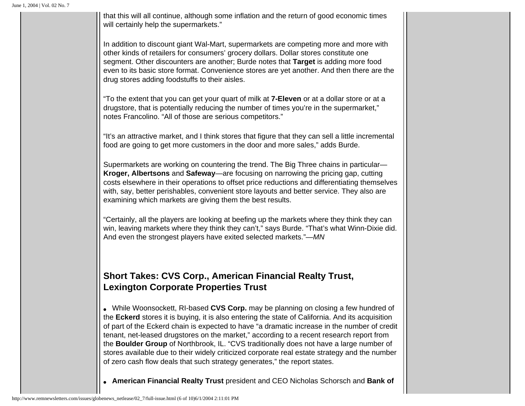that this will all continue, although some inflation and the return of good economic times will certainly help the supermarkets."

In addition to discount giant Wal-Mart, supermarkets are competing more and more with other kinds of retailers for consumers' grocery dollars. Dollar stores constitute one segment. Other discounters are another; Burde notes that **Target** is adding more food even to its basic store format. Convenience stores are yet another. And then there are the drug stores adding foodstuffs to their aisles.

"To the extent that you can get your quart of milk at **7-Eleven** or at a dollar store or at a drugstore, that is potentially reducing the number of times you're in the supermarket," notes Francolino. "All of those are serious competitors."

"It's an attractive market, and I think stores that figure that they can sell a little incremental food are going to get more customers in the door and more sales," adds Burde.

Supermarkets are working on countering the trend. The Big Three chains in particular— **Kroger, Albertsons** and **Safeway**—are focusing on narrowing the pricing gap, cutting costs elsewhere in their operations to offset price reductions and differentiating themselves with, say, better perishables, convenient store layouts and better service. They also are examining which markets are giving them the best results.

"Certainly, all the players are looking at beefing up the markets where they think they can win, leaving markets where they think they can't," says Burde. "That's what Winn-Dixie did. And even the strongest players have exited selected markets."*—MN*

## **Short Takes: CVS Corp., American Financial Realty Trust, Lexington Corporate Properties Trust**

• While Woonsockett, RI-based **CVS Corp.** may be planning on closing a few hundred of the **Eckerd** stores it is buying, it is also entering the state of California. And its acquisition of part of the Eckerd chain is expected to have "a dramatic increase in the number of credit tenant, net-leased drugstores on the market," according to a recent research report from the **Boulder Group** of Northbrook, IL. "CVS traditionally does not have a large number of stores available due to their widely criticized corporate real estate strategy and the number of zero cash flow deals that such strategy generates," the report states.

● **American Financial Realty Trust** president and CEO Nicholas Schorsch and **Bank of**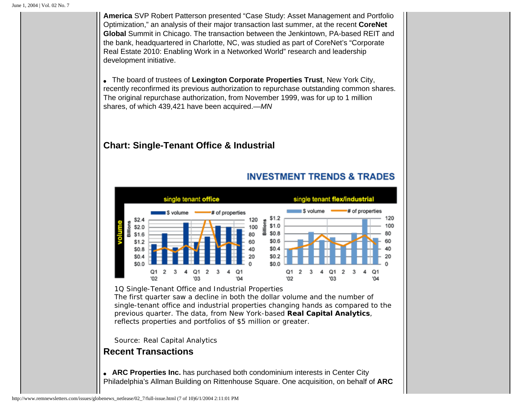**America** SVP Robert Patterson presented "Case Study: Asset Management and Portfolio Optimization," an analysis of their major transaction last summer, at the recent **CoreNet Global** Summit in Chicago. The transaction between the Jenkintown, PA-based REIT and the bank, headquartered in Charlotte, NC, was studied as part of CoreNet's "Corporate Real Estate 2010: Enabling Work in a Networked World" research and leadership development initiative.

● The board of trustees of **Lexington Corporate Properties Trust**, New York City, recently reconfirmed its previous authorization to repurchase outstanding common shares. The original repurchase authorization, from November 1999, was for up to 1 million shares, of which 439,421 have been acquired.*—MN*

# **Chart: Single-Tenant Office & Industrial**

### **INVESTMENT TRENDS & TRADES**



#### *1Q Single-Tenant Office and Industrial Properties*

The first quarter saw a decline in both the dollar volume and the number of single-tenant office and industrial properties changing hands as compared to the previous quarter. The data, from New York-based **Real Capital Analytics**, reflects properties and portfolios of \$5 million or greater.

*Source: Real Capital Analytics*

# **Recent Transactions**

• **ARC Properties Inc.** has purchased both condominium interests in Center City Philadelphia's Allman Building on Rittenhouse Square. One acquisition, on behalf of **ARC**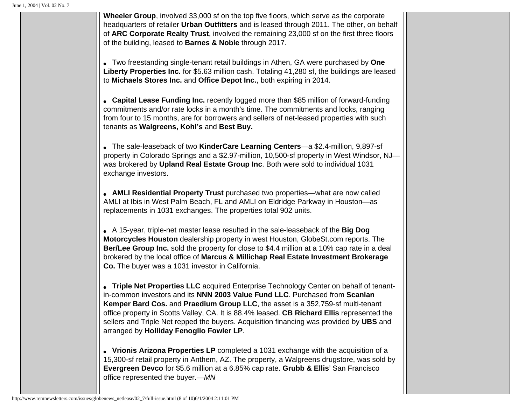**Wheeler Group**, involved 33,000 sf on the top five floors, which serve as the corporate headquarters of retailer **Urban Outfitters** and is leased through 2011. The other, on behalf of **ARC Corporate Realty Trust**, involved the remaining 23,000 sf on the first three floors of the building, leased to **Barnes & Noble** through 2017. ● Two freestanding single-tenant retail buildings in Athen, GA were purchased by **One Liberty Properties Inc.** for \$5.63 million cash. Totaling 41,280 sf, the buildings are leased to **Michaels Stores Inc.** and **Office Depot Inc.**, both expiring in 2014. • **Capital Lease Funding Inc.** recently logged more than \$85 million of forward-funding commitments and/or rate locks in a month's time. The commitments and locks, ranging from four to 15 months, are for borrowers and sellers of net-leased properties with such tenants as **Walgreens, Kohl's** and **Best Buy.** ● The sale-leaseback of two **KinderCare Learning Centers**—a \$2.4-million, 9,897-sf property in Colorado Springs and a \$2.97-million, 10,500-sf property in West Windsor, NJ was brokered by **Upland Real Estate Group Inc**. Both were sold to individual 1031 exchange investors. • **AMLI Residential Property Trust** purchased two properties—what are now called AMLI at Ibis in West Palm Beach, FL and AMLI on Eldridge Parkway in Houston—as replacements in 1031 exchanges. The properties total 902 units. ● A 15-year, triple-net master lease resulted in the sale-leaseback of the **Big Dog Motorcycles Houston** dealership property in west Houston, GlobeSt.com reports. The **Ber/Lee Group Inc.** sold the property for close to \$4.4 million at a 10% cap rate in a deal brokered by the local office of **Marcus & Millichap Real Estate Investment Brokerage Co.** The buyer was a 1031 investor in California. ● **Triple Net Properties LLC** acquired Enterprise Technology Center on behalf of tenantin-common investors and its **NNN 2003 Value Fund LLC**. Purchased from **Scanlan Kemper Bard Cos.** and **Praedium Group LLC**, the asset is a 352,759-sf multi-tenant office property in Scotts Valley, CA. It is 88.4% leased. **CB Richard Ellis** represented the sellers and Triple Net repped the buyers. Acquisition financing was provided by **UBS** and arranged by **Holliday Fenoglio Fowler LP**. • Vrionis Arizona Properties LP completed a 1031 exchange with the acquisition of a 15,300-sf retail property in Anthem, AZ. The property, a Walgreens drugstore, was sold by **Evergreen Devco** for \$5.6 million at a 6.85% cap rate. **Grubb & Ellis**' San Francisco office represented the buyer.*—MN*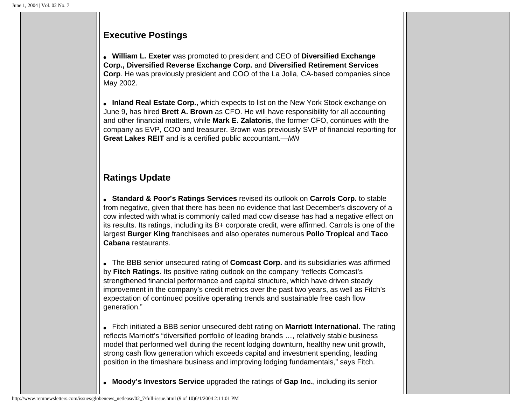## **Executive Postings**

● **William L. Exeter** was promoted to president and CEO of **Diversified Exchange Corp., Diversified Reverse Exchange Corp.** and **Diversified Retirement Services Corp**. He was previously president and COO of the La Jolla, CA-based companies since May 2002.

• **Inland Real Estate Corp.**, which expects to list on the New York Stock exchange on June 9, has hired **Brett A. Brown** as CFO. He will have responsibility for all accounting and other financial matters, while **Mark E. Zalatoris**, the former CFO, continues with the company as EVP, COO and treasurer. Brown was previously SVP of financial reporting for **Great Lakes REIT** and is a certified public accountant.—*MN*

# **Ratings Update**

● **Standard & Poor's Ratings Services** revised its outlook on **Carrols Corp.** to stable from negative, given that there has been no evidence that last December's discovery of a cow infected with what is commonly called mad cow disease has had a negative effect on its results. Its ratings, including its B+ corporate credit, were affirmed. Carrols is one of the largest **Burger King** franchisees and also operates numerous **Pollo Tropical** and **Taco Cabana** restaurants.

• The BBB senior unsecured rating of **Comcast Corp.** and its subsidiaries was affirmed by **Fitch Ratings**. Its positive rating outlook on the company "reflects Comcast's strengthened financial performance and capital structure, which have driven steady improvement in the company's credit metrics over the past two years, as well as Fitch's expectation of continued positive operating trends and sustainable free cash flow generation."

● Fitch initiated a BBB senior unsecured debt rating on **Marriott International**. The rating reflects Marriott's "diversified portfolio of leading brands …, relatively stable business model that performed well during the recent lodging downturn, healthy new unit growth, strong cash flow generation which exceeds capital and investment spending, leading position in the timeshare business and improving lodging fundamentals," says Fitch.

● **Moody's Investors Service** upgraded the ratings of **Gap Inc.**, including its senior